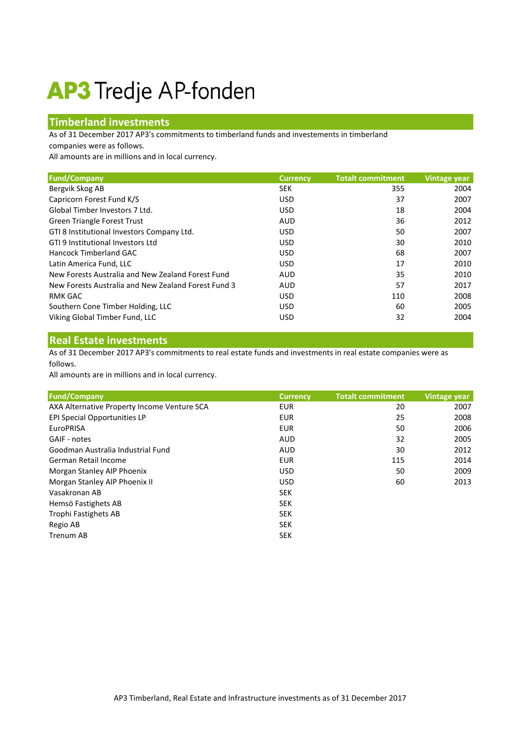## **AP3** Tredje AP-fonden

## **Timberland investments**

As of 31 December 2017 AP3's commitments to timberland funds and investements in timberland companies were as follows.

All amounts are in millions and in local currency.

| <b>Fund/Company</b>                                 | <b>Currency</b> | <b>Totalt commitment</b> | Vintage year |
|-----------------------------------------------------|-----------------|--------------------------|--------------|
|                                                     |                 |                          |              |
| Bergvik Skog AB                                     | <b>SEK</b>      | 355                      | 2004         |
| Capricorn Forest Fund K/S                           | <b>USD</b>      | 37                       | 2007         |
| Global Timber Investors 7 Ltd.                      | <b>USD</b>      | 18                       | 2004         |
| <b>Green Triangle Forest Trust</b>                  | AUD             | 36                       | 2012         |
| GTI 8 Institutional Investors Company Ltd.          | <b>USD</b>      | 50                       | 2007         |
| GTI 9 Institutional Investors Ltd                   | <b>USD</b>      | 30                       | 2010         |
| Hancock Timberland GAC                              | <b>USD</b>      | 68                       | 2007         |
| Latin America Fund, LLC                             | <b>USD</b>      | 17                       | 2010         |
| New Forests Australia and New Zealand Forest Fund   | <b>AUD</b>      | 35                       | 2010         |
| New Forests Australia and New Zealand Forest Fund 3 | AUD             | 57                       | 2017         |
| RMK GAC                                             | <b>USD</b>      | 110                      | 2008         |
| Southern Cone Timber Holding, LLC                   | <b>USD</b>      | 60                       | 2005         |
| Viking Global Timber Fund, LLC                      | <b>USD</b>      | 32                       | 2004         |

## **Real Estate investments**

As of 31 December 2017 AP3's commitments to real estate funds and investments in real estate companies were as follows.

All amounts are in millions and in local currency.

| <b>Fund/Company</b>                         | <b>Currency</b> | <b>Totalt commitment</b> | Vintage year |
|---------------------------------------------|-----------------|--------------------------|--------------|
| AXA Alternative Property Income Venture SCA | <b>EUR</b>      | 20                       | 2007         |
| <b>EPI Special Opportunities LP</b>         | <b>EUR</b>      | 25                       | 2008         |
| <b>EuroPRISA</b>                            | <b>EUR</b>      | 50                       | 2006         |
| GAIF - notes                                | <b>AUD</b>      | 32                       | 2005         |
| Goodman Australia Industrial Fund           | AUD             | 30                       | 2012         |
| German Retail Income                        | <b>EUR</b>      | 115                      | 2014         |
| Morgan Stanley AIP Phoenix                  | <b>USD</b>      | 50                       | 2009         |
| Morgan Stanley AIP Phoenix II               | <b>USD</b>      | 60                       | 2013         |
| Vasakronan AB                               | <b>SEK</b>      |                          |              |
| Hemsö Fastighets AB                         | <b>SEK</b>      |                          |              |
| Trophi Fastighets AB                        | <b>SEK</b>      |                          |              |
| Regio AB                                    | <b>SEK</b>      |                          |              |
| <b>Trenum AB</b>                            | <b>SEK</b>      |                          |              |